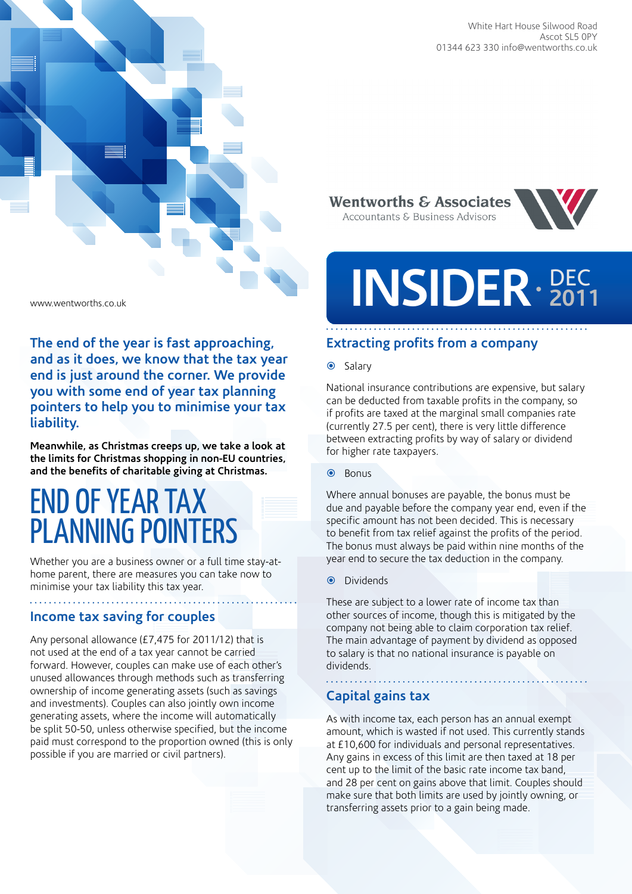



**The end of the year is fast approaching, and as it does, we know that the tax year end is just around the corner. We provide you with some end of year tax planning pointers to help you to minimise your tax liability.** 

**Meanwhile, as Christmas creeps up, we take a look at the limits for Christmas shopping in non-EU countries, and the benefits of charitable giving at Christmas.** 

# End of year tax planning pointers

Whether you are a business owner or a full time stay-athome parent, there are measures you can take now to minimise your tax liability this tax year.

# **Income tax saving for couples**

Any personal allowance (£7,475 for 2011/12) that is not used at the end of a tax year cannot be carried forward. However, couples can make use of each other's unused allowances through methods such as transferring ownership of income generating assets (such as savings and investments). Couples can also jointly own income generating assets, where the income will automatically be split 50-50, unless otherwise specified, but the income paid must correspond to the proportion owned (this is only possible if you are married or civil partners).

**Wentworths & Associates** Accountants & Business Advisors



# **INSIDER** · 201 **2011**

# **Extracting profits from a company**

#### $\odot$  Salary

National insurance contributions are expensive, but salary can be deducted from taxable profits in the company, so if profits are taxed at the marginal small companies rate (currently 27.5 per cent), there is very little difference between extracting profits by way of salary or dividend for higher rate taxpayers.

**O** Bonus

Where annual bonuses are payable, the bonus must be due and payable before the company year end, even if the specific amount has not been decided. This is necessary to benefit from tax relief against the profits of the period. The bonus must always be paid within nine months of the year end to secure the tax deduction in the company.

#### **O** Dividends

These are subject to a lower rate of income tax than other sources of income, though this is mitigated by the company not being able to claim corporation tax relief. The main advantage of payment by dividend as opposed to salary is that no national insurance is payable on dividends.

# **Capital gains tax**

As with income tax, each person has an annual exempt amount, which is wasted if not used. This currently stands at £10,600 for individuals and personal representatives. Any gains in excess of this limit are then taxed at 18 per cent up to the limit of the basic rate income tax band, and 28 per cent on gains above that limit. Couples should make sure that both limits are used by jointly owning, or transferring assets prior to a gain being made.